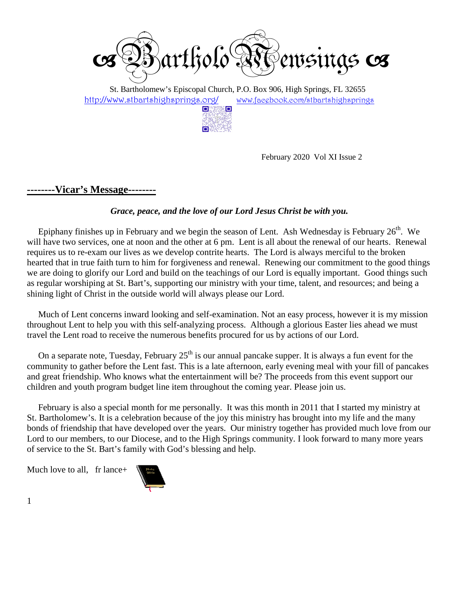

 St. Bartholomew's Episcopal Church, P.O. Box 906, High Springs, FL 32655 http://www.stbartshighsprings.org/ www.facebook.com/stbartshighsprings

ÖU

February 2020 Vol XI Issue 2

#### **--------Vicar's Message--------**

#### *Grace, peace, and the love of our Lord Jesus Christ be with you.*

Epiphany finishes up in February and we begin the season of Lent. Ash Wednesday is February 26<sup>th</sup>. We will have two services, one at noon and the other at 6 pm. Lent is all about the renewal of our hearts. Renewal requires us to re-exam our lives as we develop contrite hearts. The Lord is always merciful to the broken hearted that in true faith turn to him for forgiveness and renewal. Renewing our commitment to the good things we are doing to glorify our Lord and build on the teachings of our Lord is equally important. Good things such as regular worshiping at St. Bart's, supporting our ministry with your time, talent, and resources; and being a shining light of Christ in the outside world will always please our Lord.

 Much of Lent concerns inward looking and self-examination. Not an easy process, however it is my mission throughout Lent to help you with this self-analyzing process. Although a glorious Easter lies ahead we must travel the Lent road to receive the numerous benefits procured for us by actions of our Lord.

On a separate note, Tuesday, February  $25<sup>th</sup>$  is our annual pancake supper. It is always a fun event for the community to gather before the Lent fast. This is a late afternoon, early evening meal with your fill of pancakes and great friendship. Who knows what the entertainment will be? The proceeds from this event support our children and youth program budget line item throughout the coming year. Please join us.

 February is also a special month for me personally. It was this month in 2011 that I started my ministry at St. Bartholomew's. It is a celebration because of the joy this ministry has brought into my life and the many bonds of friendship that have developed over the years. Our ministry together has provided much love from our Lord to our members, to our Diocese, and to the High Springs community. I look forward to many more years of service to the St. Bart's family with God's blessing and help.

Much love to all, fr lance+

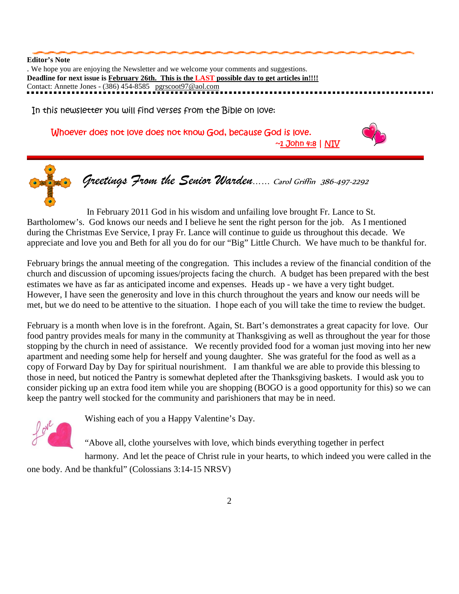**Editor's Note**

. We hope you are enjoying the Newsletter and we welcome your comments and suggestions. **Deadline for next issue is February 26th. This is the LAST possible day to get articles in!!!!** Contact: Annette Jones - (386) 454-8585 pgrscoot97@aol.com

In this newsletter you will find verses from the Bible on love:

*Whoever does not love does not know God, because God is love.* 

~1 John 4:8 | NIV



 In February 2011 God in his wisdom and unfailing love brought Fr. Lance to St. Bartholomew's. God knows our needs and I believe he sent the right person for the job. As I mentioned during the Christmas Eve Service, I pray Fr. Lance will continue to guide us throughout this decade. We appreciate and love you and Beth for all you do for our "Big" Little Church. We have much to be thankful for.

February brings the annual meeting of the congregation. This includes a review of the financial condition of the church and discussion of upcoming issues/projects facing the church. A budget has been prepared with the best estimates we have as far as anticipated income and expenses. Heads up - we have a very tight budget. However, I have seen the generosity and love in this church throughout the years and know our needs will be met, but we do need to be attentive to the situation. I hope each of you will take the time to review the budget.

February is a month when love is in the forefront. Again, St. Bart's demonstrates a great capacity for love. Our food pantry provides meals for many in the community at Thanksgiving as well as throughout the year for those stopping by the church in need of assistance. We recently provided food for a woman just moving into her new apartment and needing some help for herself and young daughter. She was grateful for the food as well as a copy of Forward Day by Day for spiritual nourishment. I am thankful we are able to provide this blessing to those in need, but noticed the Pantry is somewhat depleted after the Thanksgiving baskets. I would ask you to consider picking up an extra food item while you are shopping (BOGO is a good opportunity for this) so we can keep the pantry well stocked for the community and parishioners that may be in need.



Wishing each of you a Happy Valentine's Day.

"Above all, clothe yourselves with love, which binds everything together in perfect

harmony. And let the peace of Christ rule in your hearts, to which indeed you were called in the one body. And be thankful" (Colossians 3:14-15 NRSV)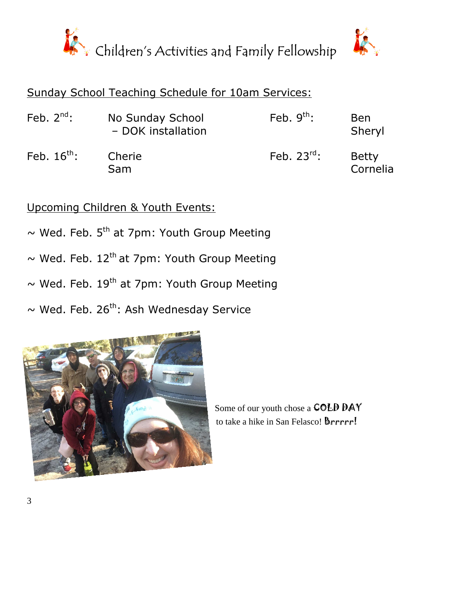



## Sunday School Teaching Schedule for 10am Services:

| Feb. $2^{nd}$ :         | No Sunday School<br>- DOK installation | Feb. $9th$ :            | <b>Ben</b><br>Sheryl     |
|-------------------------|----------------------------------------|-------------------------|--------------------------|
| Feb. $16^{\text{th}}$ : | Cherie<br>Sam                          | Feb. $23^{\text{rd}}$ : | <b>Betty</b><br>Cornelia |

## Upcoming Children & Youth Events:

- $\sim$  Wed. Feb. 5<sup>th</sup> at 7pm: Youth Group Meeting
- $\sim$  Wed. Feb. 12<sup>th</sup> at 7pm: Youth Group Meeting
- $\sim$  Wed. Feb. 19<sup>th</sup> at 7pm: Youth Group Meeting
- $\sim$  Wed. Feb. 26<sup>th</sup>: Ash Wednesday Service



Some of our youth chose a COLD DAY to take a hike in San Felasco! **Brrrrr!**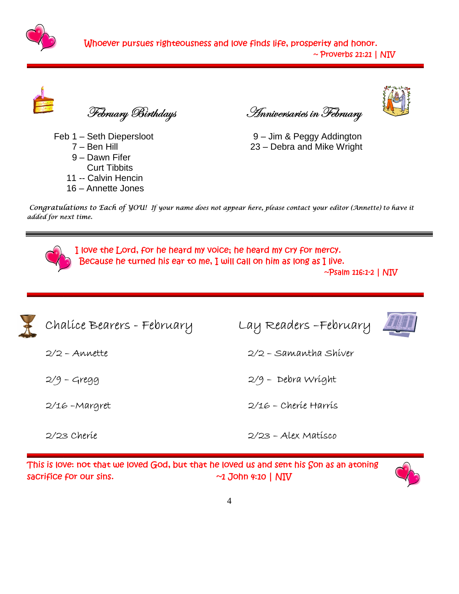



 9 – Dawn Fifer Curt Tibbits

- 11 -- Calvin Hencin
- 16 Annette Jones

Tebruary Birthdays **The Hermit Conversaries** in February



Feb 1 – Seth Diepersloot 9 – Jim & Peggy Addington 7 – Ben Hill 23 – Debra and Mike Wright

Congratulations to Each of YOU! If your name does not appear here, please contact your editor (Annette) to have it added for next time.

 *I love the Lord, for he heard my voice; he heard my cry for mercy. Because he turned his ear to me, I will call on him as long as I live.* 

~Psalm 116:1-2 | NIV

| Chalíce Bearers - February | Lay Readers-February    |
|----------------------------|-------------------------|
| $2/2$ – Annette            | $2/2$ – Samantha Shiver |
| $2/9$ - Gregg              | 2/9 - Debra Wríght      |
| 2/16-Margret               | 2/16 - Cherie Harris    |
| $2/23$ Cherie              | 2/23 - Alex Matísco     |

*This is love: not that we loved God, but that he loved us and sent his Son as an atoning sacrifice for our sins.* ~*1 John 4:10 | NIV* 

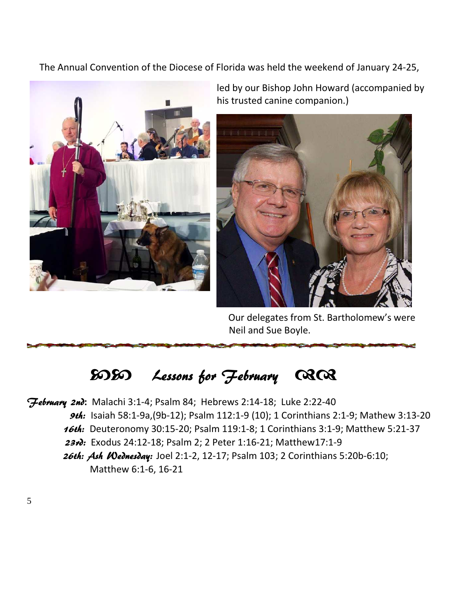The Annual Convention of the Diocese of Florida was held the weekend of January 24-25,



led by our Bishop John Howard (accompanied by his trusted canine companion.)



 Our delegates from St. Bartholomew's were Neil and Sue Boyle.

### $\mathfrak{so}$ Lessons for February QRQ

February 2nd: Malachi 3:1-4; Psalm 84; Hebrews 2:14-18; Luke 2:22-40 9th: Isaiah 58:1-9a, (9b-12); Psalm 112:1-9 (10); 1 Corinthians 2:1-9; Mathew 3:13-20 16th: Deuteronomy 30:15-20; Psalm 119:1-8; 1 Corinthians 3:1-9; Matthew 5:21-37 23rd: Exodus 24:12-18; Psalm 2; 2 Peter 1:16-21; Matthew17:1-9 26th: Ash Wednesday: Joel 2:1-2, 12-17; Psalm 103; 2 Corinthians 5:20b-6:10; Matthew 6:1-6, 16-21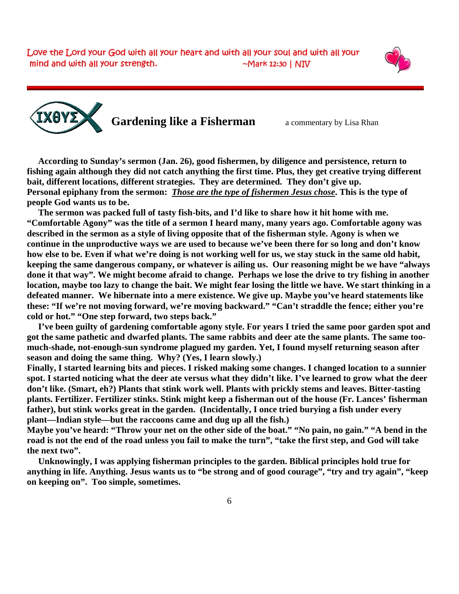Love the Lord your God with all your heart and with all your soul and with all your mind and with all your strength. The same second with all your strength.





 **According to Sunday's sermon (Jan. 26), good fishermen, by diligence and persistence, return to fishing again although they did not catch anything the first time. Plus, they get creative trying different**  bait, different locations, different strategies. They are determined. They don't give up. **Personal epiphany from the sermon:** *Those are the type of fishermen Jesus chose***. This is the type of people God wants us to be.** 

 **The sermon was packed full of tasty fish-bits, and I'd like to share how it hit home with me. "Comfortable Agony" was the title of a sermon I heard many, many years ago. Comfortable agony was described in the sermon as a style of living opposite that of the fisherman style. Agony is when we continue in the unproductive ways we are used to because we've been there for so long and don't know how else to be. Even if what we're doing is not working well for us, we stay stuck in the same old habit, keeping the same dangerous company, or whatever is ailing us. Our reasoning might be we have "always done it that way". We might become afraid to change. Perhaps we lose the drive to try fishing in another location, maybe too lazy to change the bait. We might fear losing the little we have. We start thinking in a defeated manner. We hibernate into a mere existence. We give up. Maybe you've heard statements like these: "If we're not moving forward, we're moving backward." "Can't straddle the fence; either you're cold or hot." "One step forward, two steps back."** 

 **I've been guilty of gardening comfortable agony style. For years I tried the same poor garden spot and got the same pathetic and dwarfed plants. The same rabbits and deer ate the same plants. The same toomuch-shade, not-enough-sun syndrome plagued my garden. Yet, I found myself returning season after season and doing the same thing. Why? (Yes, I learn slowly.)** 

**Finally, I started learning bits and pieces. I risked making some changes. I changed location to a sunnier spot. I started noticing what the deer ate versus what they didn't like. I've learned to grow what the deer don't like. (Smart, eh?) Plants that stink work well. Plants with prickly stems and leaves. Bitter-tasting plants. Fertilizer. Fertilizer stinks. Stink might keep a fisherman out of the house (Fr. Lances' fisherman father), but stink works great in the garden. (Incidentally, I once tried burying a fish under every plant—Indian style—but the raccoons came and dug up all the fish.)** 

**Maybe you've heard: "Throw your net on the other side of the boat." "No pain, no gain." "A bend in the road is not the end of the road unless you fail to make the turn", "take the first step, and God will take the next two".** 

 **Unknowingly, I was applying fisherman principles to the garden. Biblical principles hold true for anything in life. Anything. Jesus wants us to "be strong and of good courage", "try and try again", "keep on keeping on". Too simple, sometimes.**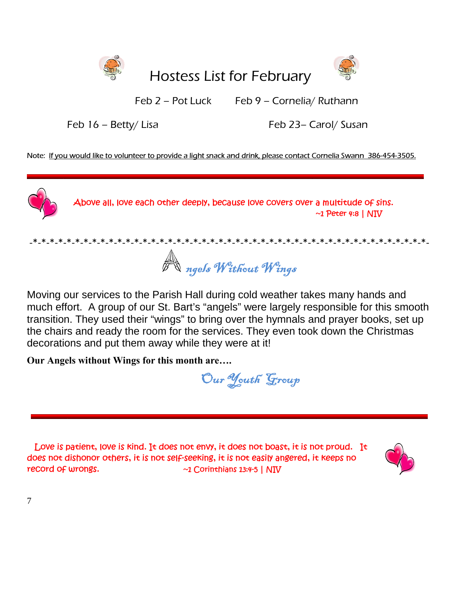

Hostess List for February



Feb 2 – Pot Luck Feb 9 – Cornelia/ Ruthann

Feb 16 – Betty/ Lisa Feb 23– Carol/ Susan

*Note: If you would like to volunteer to provide a light snack and drink, please contact Cornelia Swann 386-454-3505.*



Moving our services to the Parish Hall during cold weather takes many hands and much effort. A group of our St. Bart's "angels" were largely responsible for this smooth transition. They used their "wings" to bring over the hymnals and prayer books, set up the chairs and ready the room for the services. They even took down the Christmas decorations and put them away while they were at it!

Our Angels without Wings for this month are….

Our Youth Group

 *Love is patient, love is kind. It does not envy, it does not boast, it is not proud. It does not dishonor others, it is not self-seeking, it is not easily angered, it keeps no record of wrongs.* ~1 Corinthians 13:4-5 | NIV